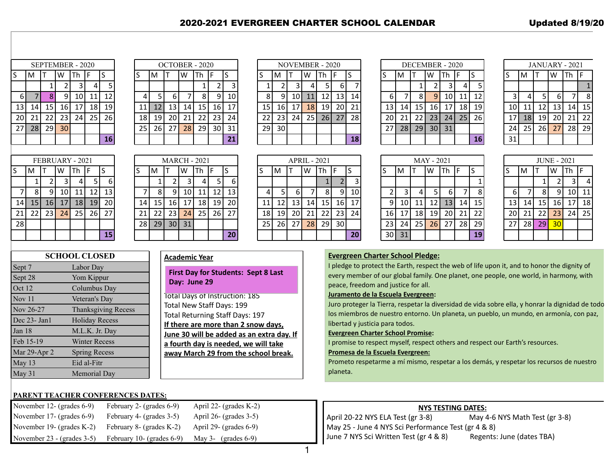# 2020-2021 EVERGREEN CHARTER SCHOOL CALENDAR

| <b>Updated 8/19/20</b> |  |
|------------------------|--|
|                        |  |

|     |         | SEPTEMBER - 2020 |    |      |    |    |    |                 |                 |    | OCTOBER - 2020 |          |    |    |                 |                 |    | NOVEMBER - 2020 |                 |    |    |            |                 |    | DECEMBER - 2020 |                 |    |    |           | <b>JANUARY - 2021</b> |    |      |     |
|-----|---------|------------------|----|------|----|----|----|-----------------|-----------------|----|----------------|----------|----|----|-----------------|-----------------|----|-----------------|-----------------|----|----|------------|-----------------|----|-----------------|-----------------|----|----|-----------|-----------------------|----|------|-----|
|     | ١M      |                  | w  | Th F |    |    |    | M               |                 | W  | Th  F          |          |    |    | M               |                 | W  | Th F            |                 |    |    | M          |                 | W  | Th  F           |                 |    |    | M         |                       | W  | Th F |     |
|     |         |                  |    |      | 4  |    |    |                 |                 |    |                |          |    |    |                 |                 |    |                 | $6 \mid$        |    |    |            |                 |    | 3               | 4               |    |    |           |                       |    |      |     |
| 6 L |         |                  | Q  | 10   | 11 | 12 |    |                 |                 |    | 8              | $\Omega$ | 10 | 8  | 9               | 10 I            | 11 | 12              | 13 <sub>1</sub> | 14 | 6  |            | 8I              |    | 10              | 11              | 12 |    | 4 I       |                       |    |      |     |
| 13  | 14      | 15 <sup>1</sup>  | 16 | 17   | 18 | 19 |    | 12              | 13 <sub>1</sub> | 14 | 15             | 16       | 17 | 15 | 16 <sup>1</sup> | 17 <sup>1</sup> | 18 | 19              | 20 l            | 21 | 13 | 14         | 15 <sup>1</sup> | 16 | 17              | 18 <sup>1</sup> | 19 | 10 |           | 12                    | 13 | 14   | 15  |
| 20  | 21      | 22               | 23 | 24   | 25 | 26 | 18 | 19 <sup>1</sup> | 20 I            | 21 | 22             | 23       | 24 | 22 | 23              | 24              | 25 | <b>26</b>       | 27              | 28 | 20 | 21         | 22              | 23 | 24              | 25              | 26 | 17 | <b>18</b> | 19                    | 20 | 21   | -22 |
|     | $27$ 28 | 29               | 30 |      |    |    | 25 | 26              | 27              | 28 | 29             | 30       | 31 | 29 | 30 <sup>1</sup> |                 |    |                 |                 |    | 27 | <b>281</b> | 29              | 30 | 31              |                 |    | 24 | 25        | <b>26</b>             | 27 | 28   | 29  |
|     |         |                  |    |      |    | 16 |    |                 |                 |    |                |          | 21 |    |                 |                 |    |                 |                 | 18 |    |            |                 |    |                 |                 | 16 | 31 |           |                       |    |      |     |
|     |         |                  |    |      |    |    |    |                 |                 |    |                |          |    |    |                 |                 |    |                 |                 |    |    |            |                 |    |                 |                 |    |    |           |                       |    |      |     |

| <b>NOVEMBER - 2020</b> |    |    |    |    |    |    |  |  |  |  |  |
|------------------------|----|----|----|----|----|----|--|--|--|--|--|
| S                      | M  |    | W  | Th | F  | S  |  |  |  |  |  |
| 1                      | 2  | 3  | 4  | 5  | 6  |    |  |  |  |  |  |
| 8                      | 9  | 10 | 11 | 12 | 13 | 14 |  |  |  |  |  |
| 15                     | 16 | 17 | 18 | 19 | 20 | 21 |  |  |  |  |  |
| 22                     | 23 | 24 | 25 | 26 | 27 | 28 |  |  |  |  |  |
| 29                     | 30 |    |    |    |    |    |  |  |  |  |  |
|                        |    |    |    |    |    | 18 |  |  |  |  |  |

|   | S  | $\overline{\mathsf{s}}$ | M  |    | W          | Th             |
|---|----|-------------------------|----|----|------------|----------------|
| 5 | 7  |                         |    | 1  | 2          |                |
| ξ | 14 | 6                       |    | 8  | 9          | 1(             |
| ) | 21 | 13                      | 14 | 15 | 16         | $1^{\circ}$    |
| 7 | 28 | 20                      | 21 | 22 | 23         | 2 <sub>4</sub> |
|   |    | 27                      | 28 | 29 | 30         | 3 <sup>2</sup> |
|   | 18 |                         |    |    |            |                |
|   |    |                         |    |    |            |                |
|   |    |                         |    |    | MAY - 2021 |                |

|    | JANUARY - 2021 |    |    |    |    |  |  |  |  |  |
|----|----------------|----|----|----|----|--|--|--|--|--|
| S  | M              |    | W  | Гh | F  |  |  |  |  |  |
|    |                |    |    |    | 1  |  |  |  |  |  |
| 3  | 4              | 5  | 6  |    | 8  |  |  |  |  |  |
| 10 | 11             | 12 | 13 | 14 | 15 |  |  |  |  |  |
| 17 | 18             | 19 | 20 | 21 | 22 |  |  |  |  |  |
| 24 | 25             | 26 | 27 | 28 | 29 |  |  |  |  |  |
| 31 |                |    |    |    |    |  |  |  |  |  |

|    |         |                 | FEBRUARY - 2021 |                 |    |              |    |                 |        | <b>MARCH - 2021</b> |                 |                 |    |    |           | <b>APRIL - 2021</b> |    |                |    |    |    |                 |      | MAY - 2021      |                |           |    |    |    |          | <b>JUNE - 2021</b> |                 |    |
|----|---------|-----------------|-----------------|-----------------|----|--------------|----|-----------------|--------|---------------------|-----------------|-----------------|----|----|-----------|---------------------|----|----------------|----|----|----|-----------------|------|-----------------|----------------|-----------|----|----|----|----------|--------------------|-----------------|----|
|    | M       |                 | W               | ∣Th ∣F          |    |              |    | M               |        | W  Th  F            |                 |                 |    |    | M         |                     |    | $ W $ Th $ F $ |    |    |    | M               |      |                 | $ W $ Th $ F $ |           |    |    | M  |          |                    | W  Th  F        |    |
|    |         |                 |                 |                 |    | <sub>b</sub> |    |                 |        |                     |                 |                 | b  |    |           |                     |    |                |    |    |    |                 |      |                 |                |           |    |    |    |          |                    |                 |    |
|    | 8       |                 | 10              |                 | 12 | 13           |    | 8               |        | 10                  | 11              | 12              | 13 |    |           |                     |    | 8              | 91 | 10 |    |                 |      |                 | 6              |           | 8  | 6  |    | 81       | Q                  | 10 <sub>l</sub> | 11 |
|    | 14   15 | <b>16</b>       | 17              | 18 <sup>1</sup> | 19 | 20           | 14 | 15              | - 16 I | 17                  | 18              | 19 <sub>l</sub> | 20 | 11 | 12        | 13 <sup>1</sup>     | 14 | 15             | 16 | 17 | Q  | <b>10</b>       | 11   | 12 <sub>l</sub> | 13             | <b>14</b> | 15 | 13 | 14 | 15       | 16                 | 17 <sub>1</sub> | 18 |
| 21 | 221     | 23 <sup>1</sup> | 24              | 25 <sub>1</sub> | 26 | 27           | 21 | 22 <sub>1</sub> | 23     | 24                  | 25 <sub>1</sub> | 26              | 27 | 18 | 19        | 20 l                | 21 | 22             | 23 | 24 | 16 | 17 <sup>1</sup> | 18 I | 19              | 20             | 21        | 22 | 20 | 21 | 22       | 23                 | 24              | 25 |
| 28 |         |                 |                 |                 |    |              |    | 28 29 30        |        | 31                  |                 |                 |    | 25 | <b>26</b> | 27                  | 28 | 29             | 30 |    | 23 | 24              | 25   | 26              | 27             | 28        | 29 | 27 |    | 28 29 30 |                    |                 |    |
|    |         |                 |                 |                 |    | 15           |    |                 |        |                     |                 |                 | 20 |    |           |                     |    |                |    | 20 |    | $30$   31       |      |                 |                |           | 19 |    |    |          |                    |                 |    |

| <b>JUNE - 2021</b> |    |    |    |    |    |  |  |  |  |
|--------------------|----|----|----|----|----|--|--|--|--|
| S                  | M  |    | W  | Тh | F  |  |  |  |  |
|                    |    | 1  | 2  | 3  | 4  |  |  |  |  |
| 6                  |    | 8  | 9  | 10 | 11 |  |  |  |  |
| 13                 | 14 | 15 | 16 | 17 | 18 |  |  |  |  |
| 20                 | 21 | 22 | 23 | 24 | 25 |  |  |  |  |
| 27                 | 28 | 29 | 30 |    |    |  |  |  |  |
|                    |    |    |    |    |    |  |  |  |  |

## **SCHOOL CLOSED** Sept 7 Labor Day Sept 28 Yom Kippur Oct 12 Columbus Day Nov 11 Veteran's Day Nov 26-27 Thanksgiving Recess Dec 23- Jan1 Holiday Recess Jan 18 M.L.K. Jr. Day Feb 15-19 Winter Recess Mar 29-Apr 2 Spring Recess May 13 Eid al-Fitr May 31 Memorial Day

#### **Academic Year**

 $\begin{array}{c} \hline \end{array}$ 

**First Day for Students: Sept 8 Last Day: June 29** 

Total Days of Instruction: 185 Total New Staff Days: 199 Total Returning Staff Days: 197 **If there are more than 2 snow days, June 30 will be added as an extra day. If a fourth day is needed, we will take away March 29 from the school break.**

# **Evergreen Charter School Pledge:**

I pledge to protect the Earth, respect the web of life upon it, and to honor the dignity of every member of our global family. One planet, one people, one world, in harmony, with peace, freedom and justice for all.

### **Juramento de la Escuela Evergreen:**

Juro proteger la Tierra, respetar la diversidad de vida sobre ella, y honrar la dignidad de todo los miembros de nuestro entorno. Un planeta, un pueblo, un mundo, en armonía, con paz, libertad y justicia para todos.

### **Evergreen Charter School Promise:**

I promise to respect myself, respect others and respect our Earth's resources.

#### **Promesa de la Escuela Evergreen:**

Prometo respetarme a mí mismo, respetar a los demás, y respetar los recursos de nuestro planeta.

| <b>PARENT TEACHER CONFERENCES DATES:</b> |                              |                           |                                                     |                                |
|------------------------------------------|------------------------------|---------------------------|-----------------------------------------------------|--------------------------------|
| November 12- (grades $6-9$ )             | February 2- (grades $6-9$ )  | April 22- (grades $K-2$ ) | <b>NYS TESTING DATES:</b>                           |                                |
| November 17- (grades $6-9$ )             | February 4- (grades 3-5)     | April 26- (grades $3-5$ ) | $\vert$ April 20-22 NYS ELA Test (gr 3-8)           | May 4-6 NYS Math Test (gr 3-8) |
| November 19- (grades $K-2$ )             | February 8- (grades K-2)     | April 29- (grades $6-9$ ) | May 25 - June 4 NYS Sci Performance Test (gr 4 & 8) |                                |
| November $23 - (grades 3-5)$             | February 10- (grades $6-9$ ) | May 3- (grades $6-9$ )    | June 7 NYS Sci Written Test (gr 4 & 8)              | Regents: June (dates TBA)      |

1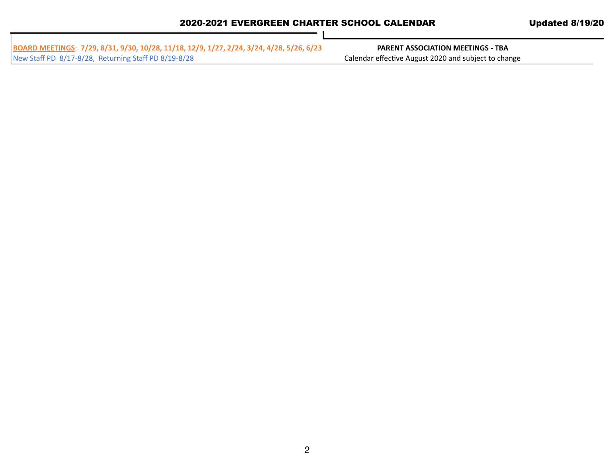| BOARD MEETINGS: 7/29, 8/31, 9/30, 10/28, 11/18, 12/9, 1/27, 2/24, 3/24, 4/28, 5/26, 6/23 | <b>PARENT ASSOCIATION MEETINGS - TBA</b>             |
|------------------------------------------------------------------------------------------|------------------------------------------------------|
| New Staff PD 8/17-8/28, Returning Staff PD 8/19-8/28                                     | Calendar effective August 2020 and subject to change |